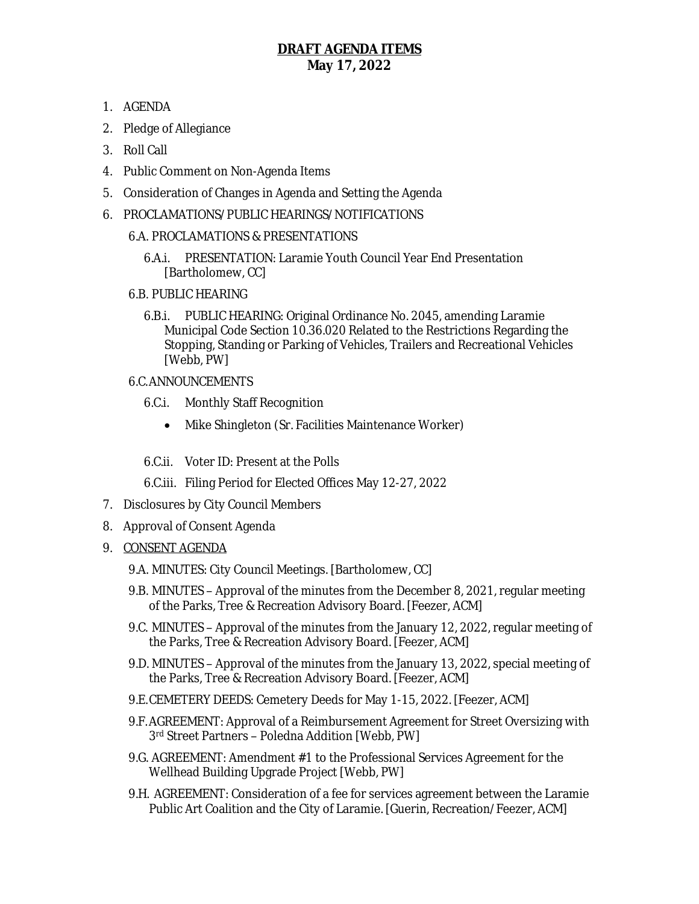## **DRAFT AGENDA ITEMS May 17, 2022**

- 1. AGENDA
- 2. Pledge of Allegiance
- 3. Roll Call
- 4. Public Comment on Non-Agenda Items
- 5. Consideration of Changes in Agenda and Setting the Agenda
- 6. PROCLAMATIONS/PUBLIC HEARINGS/NOTIFICATIONS
	- 6.A. PROCLAMATIONS & PRESENTATIONS
		- 6.A.i. PRESENTATION: Laramie Youth Council Year End Presentation [Bartholomew, CC]
	- 6.B. PUBLIC HEARING
		- 6.B.i. PUBLIC HEARING: Original Ordinance No. 2045, amending Laramie Municipal Code Section 10.36.020 Related to the Restrictions Regarding the Stopping, Standing or Parking of Vehicles, Trailers and Recreational Vehicles [Webb, PW]
	- 6.C.ANNOUNCEMENTS
		- 6.C.i. Monthly Staff Recognition
			- Mike Shingleton (Sr. Facilities Maintenance Worker)
		- 6.C.ii. Voter ID: Present at the Polls
		- 6.C.iii. Filing Period for Elected Offices May 12-27, 2022
- 7. Disclosures by City Council Members
- 8. Approval of Consent Agenda
- 9. CONSENT AGENDA
	- 9.A. MINUTES: City Council Meetings. [Bartholomew, CC]
	- 9.B. MINUTES Approval of the minutes from the December 8, 2021, regular meeting of the Parks, Tree & Recreation Advisory Board. [Feezer, ACM]
	- 9.C. MINUTES Approval of the minutes from the January 12, 2022, regular meeting of the Parks, Tree & Recreation Advisory Board. [Feezer, ACM]
	- 9.D. MINUTES Approval of the minutes from the January 13, 2022, special meeting of the Parks, Tree & Recreation Advisory Board. [Feezer, ACM]
	- 9.E.CEMETERY DEEDS: Cemetery Deeds for May 1-15, 2022. [Feezer, ACM]
	- 9.F.AGREEMENT: Approval of a Reimbursement Agreement for Street Oversizing with 3 rd Street Partners – Poledna Addition [Webb, PW]
	- 9.G. AGREEMENT: Amendment #1 to the Professional Services Agreement for the Wellhead Building Upgrade Project [Webb, PW]
	- 9.H. AGREEMENT: Consideration of a fee for services agreement between the Laramie Public Art Coalition and the City of Laramie. [Guerin, Recreation/Feezer, ACM]